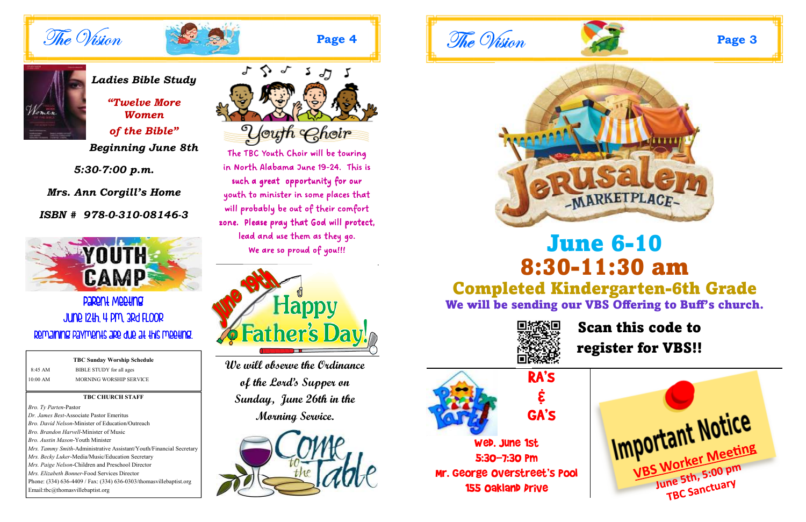**Page 4** 

#### **TBC CHURCH STAFF**

*Bro. Ty Parten*-Pastor *Dr. James Best*-Associate Pastor Emeritus *Bro. David Nelson*-Minister of Education/Outreach *Bro. Brandon Harvell*-Minister of Music *Bro. Austin Mason-*Youth Minister*Mrs. Tammy Smith*-Administrative Assistant/Youth/Financial Secretary*Mrs. Becky Luker*-Media/Music/Education Secretary *Mrs. Paige Nelson*-Children and Preschool Director *Mrs. Elizabeth Bonner*-Food Services Director Phone: (334) 636-4409 / Fax: (334) 636-0303/thomasvillebaptist.org Email:tbc@thomasvillebaptist.org



The TBC Youth Choir will be touring in North Alabama June 19-24. This is such a great opportunity for our youth to minister in some places that will probably be out of their comfort zone. Please pray that God will protect, lead and use them as they go. We are so proud of you!!!



|            | <b>TBC Sunday Worship Schedule</b> |  |
|------------|------------------------------------|--|
| $8:45$ AM  | BIBLE STUDY for all ages           |  |
| $10:00$ AM | MORNING WORSHIP SERVICE            |  |

## **PARANT MARTING** June 12th, 4 pm, 3rd Floor Remaining payments are due at this meeting.





# June 6-10 8:30-11:30 am Completed Kindergarten-6th Grade We will be sending our VBS Offering to Buff's church.



**We will observe the Ordinance of the Lord's Supper on Sunday, June 26th in the Morning Service.** 









## Scan this code to register for VBS!!